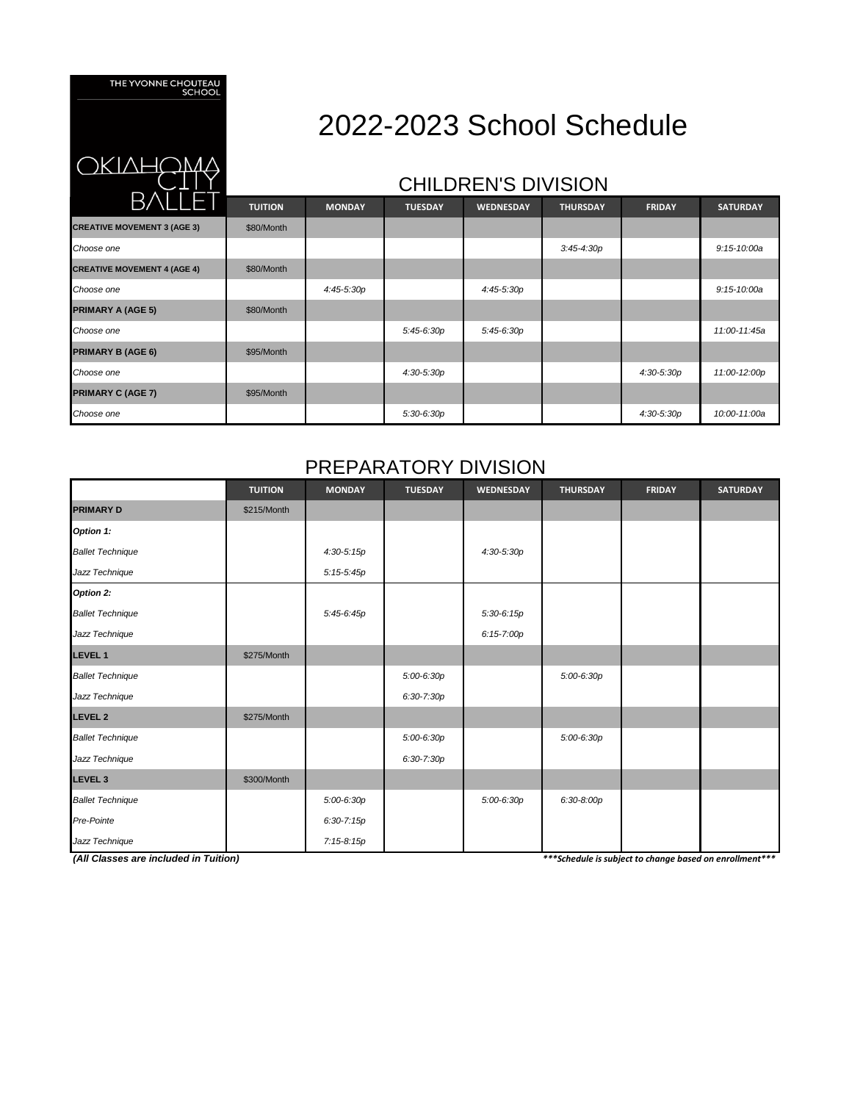THE YVONNE CHOUTEAU<br>SCHOOL

<u>)KIVHÇ</u>

# 2022-2023 School Schedule

### CHILDREN'S DIVISION

| BVLLET                             | <b>TUITION</b> | <b>MONDAY</b> | <b>TUESDAY</b> | <b>WEDNESDAY</b> | <b>THURSDAY</b> | <b>FRIDAY</b> | <b>SATURDAY</b> |
|------------------------------------|----------------|---------------|----------------|------------------|-----------------|---------------|-----------------|
| <b>CREATIVE MOVEMENT 3 (AGE 3)</b> | \$80/Month     |               |                |                  |                 |               |                 |
| Choose one                         |                |               |                |                  | $3:45 - 4:30p$  |               | $9:15 - 10:00a$ |
| <b>CREATIVE MOVEMENT 4 (AGE 4)</b> | \$80/Month     |               |                |                  |                 |               |                 |
| Choose one                         |                | 4:45-5:30p    |                | 4:45-5:30p       |                 |               | $9:15 - 10:00a$ |
| <b>PRIMARY A (AGE 5)</b>           | \$80/Month     |               |                |                  |                 |               |                 |
| Choose one                         |                |               | 5:45-6:30p     | 5:45-6:30p       |                 |               | 11:00-11:45a    |
| <b>PRIMARY B (AGE 6)</b>           | \$95/Month     |               |                |                  |                 |               |                 |
| Choose one                         |                |               | 4:30-5:30p     |                  |                 | $4:30-5:30p$  | 11:00-12:00p    |
| <b>PRIMARY C (AGE 7)</b>           | \$95/Month     |               |                |                  |                 |               |                 |
| Choose one                         |                |               | 5:30-6:30p     |                  |                 | $4:30-5:30p$  | 10:00-11:00a    |

#### PREPARATORY DIVISION

|                                                                                                   | <b>TUITION</b> | <b>MONDAY</b>  | <b>TUESDAY</b> | WEDNESDAY      | <b>THURSDAY</b> | <b>FRIDAY</b> | <b>SATURDAY</b> |
|---------------------------------------------------------------------------------------------------|----------------|----------------|----------------|----------------|-----------------|---------------|-----------------|
| <b>PRIMARY D</b>                                                                                  | \$215/Month    |                |                |                |                 |               |                 |
| Option 1:                                                                                         |                |                |                |                |                 |               |                 |
| <b>Ballet Technique</b>                                                                           |                | $4:30-5:15p$   |                | 4:30-5:30p     |                 |               |                 |
| Jazz Technique                                                                                    |                | $5:15-5:45p$   |                |                |                 |               |                 |
| Option 2:                                                                                         |                |                |                |                |                 |               |                 |
| <b>Ballet Technique</b>                                                                           |                | 5:45-6:45p     |                | $5:30-6:15p$   |                 |               |                 |
| Jazz Technique                                                                                    |                |                |                | $6:15 - 7:00p$ |                 |               |                 |
| <b>LEVEL 1</b>                                                                                    | \$275/Month    |                |                |                |                 |               |                 |
| <b>Ballet Technique</b>                                                                           |                |                | $5:00-6:30p$   |                | 5:00-6:30p      |               |                 |
| Jazz Technique                                                                                    |                |                | 6:30-7:30p     |                |                 |               |                 |
| <b>LEVEL 2</b>                                                                                    | \$275/Month    |                |                |                |                 |               |                 |
| <b>Ballet Technique</b>                                                                           |                |                | $5:00-6:30p$   |                | 5:00-6:30p      |               |                 |
| Jazz Technique                                                                                    |                |                | 6:30-7:30p     |                |                 |               |                 |
| <b>LEVEL 3</b>                                                                                    | \$300/Month    |                |                |                |                 |               |                 |
| <b>Ballet Technique</b>                                                                           |                | $5:00 - 6:30p$ |                | 5:00-6:30p     | $6:30-8:00p$    |               |                 |
| Pre-Pointe                                                                                        |                | $6:30 - 7:15p$ |                |                |                 |               |                 |
| Jazz Technique                                                                                    |                | 7:15-8:15p     |                |                |                 |               |                 |
| (All Classes are included in Tuition)<br>*** Schedule is subject to change based on enrollment*** |                |                |                |                |                 |               |                 |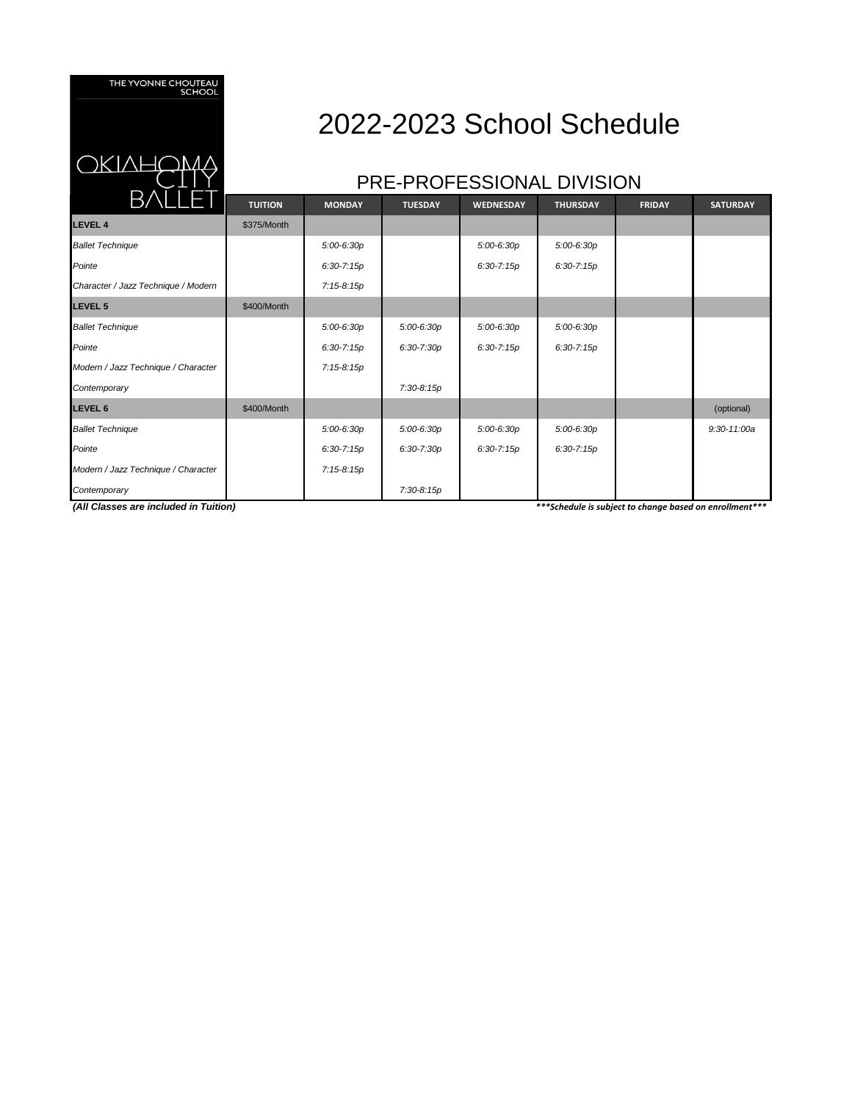THE YVONNE CHOUTEAU<br>SCHOOL

**JKIVHÌ** 

## 2022-2023 School Schedule

#### PRE-PROFESSIONAL DIVISION

| D/\LLE I                            | <b>TUITION</b> | <b>MONDAY</b>  | <b>TUESDAY</b> | <b>WEDNESDAY</b> | <b>THURSDAY</b> | <b>FRIDAY</b> | <b>SATURDAY</b> |
|-------------------------------------|----------------|----------------|----------------|------------------|-----------------|---------------|-----------------|
| <b>LEVEL 4</b>                      | \$375/Month    |                |                |                  |                 |               |                 |
| <b>Ballet Technique</b>             |                | $5:00-6:30p$   |                | $5:00-6:30p$     | 5:00-6:30p      |               |                 |
| Pointe                              |                | $6:30 - 7:15p$ |                | $6:30 - 7:15p$   | $6:30 - 7:15p$  |               |                 |
| Character / Jazz Technique / Modern |                | 7:15-8:15p     |                |                  |                 |               |                 |
| LEVEL 5                             | \$400/Month    |                |                |                  |                 |               |                 |
| <b>Ballet Technique</b>             |                | 5:00-6:30p     | 5:00-6:30p     | $5:00-6:30p$     | $5:00-6:30p$    |               |                 |
| Pointe                              |                | $6:30 - 7:15p$ | 6:30-7:30p     | $6:30 - 7:15p$   | $6:30 - 7:15p$  |               |                 |
| Modern / Jazz Technique / Character |                | 7:15-8:15p     |                |                  |                 |               |                 |
| Contemporary                        |                |                | 7:30-8:15p     |                  |                 |               |                 |
| <b>LEVEL 6</b>                      | \$400/Month    |                |                |                  |                 |               | (optional)      |
| <b>Ballet Technique</b>             |                | $5:00-6:30p$   | 5:00-6:30p     | 5:00-6:30p       | 5:00-6:30p      |               | $9:30 - 11:00a$ |
| Pointe                              |                | $6:30 - 7:15p$ | $6:30 - 7:30p$ | $6:30 - 7:15p$   | $6:30 - 7:15p$  |               |                 |
| Modern / Jazz Technique / Character |                | 7:15-8:15p     |                |                  |                 |               |                 |
| Contemporary                        |                |                | 7:30-8:15p     |                  |                 |               |                 |

*(All Classes are included in Tuition)*

*\*\*\*Schedule is subject to change based on enrollment\*\*\**